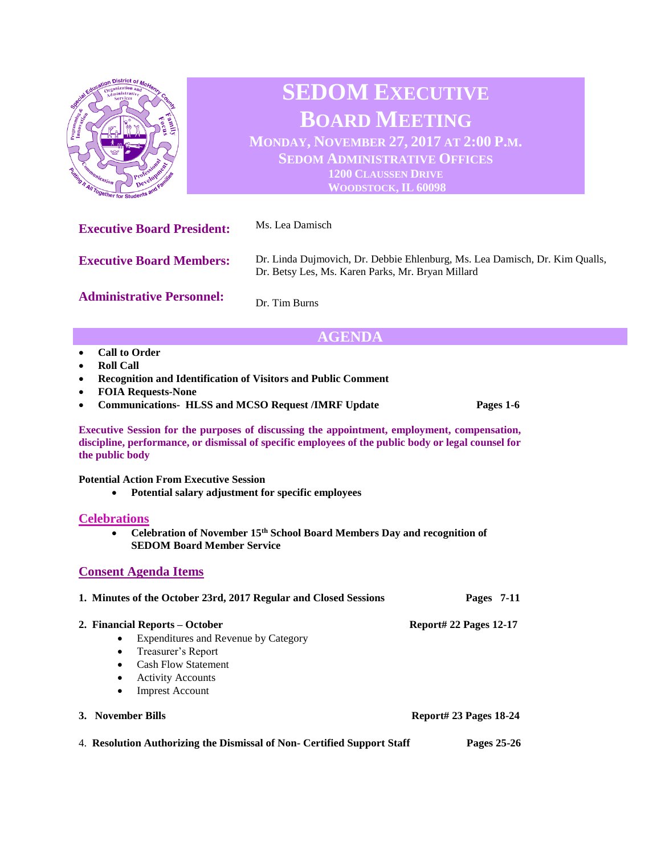

## **AGENDA**

- **Call to Order**
- **Roll Call**
- **Recognition and Identification of Visitors and Public Comment**
- **FOIA Requests-None**
- **Communications- HLSS and MCSO Request /IMRF Update Pages 1-6**

**Executive Session for the purposes of discussing the appointment, employment, compensation, discipline, performance, or dismissal of specific employees of the public body or legal counsel for the public body**

**Potential Action From Executive Session**

• **Potential salary adjustment for specific employees**

#### **Celebrations**

• **Celebration of November 15th School Board Members Day and recognition of SEDOM Board Member Service**

### **Consent Agenda Items**

# **1. Minutes of the October 23rd, 2017 Regular and Closed Sessions Pages 7-11 2. Financial Reports – October Report# 22 Pages 12-17**  • Expenditures and Revenue by Category • Treasurer's Report • Cash Flow Statement **Activity Accounts Imprest Account 3. November Bills Report# 23 Pages 18-24**

4. **Resolution Authorizing the Dismissal of Non- Certified Support Staff Pages 25-26**